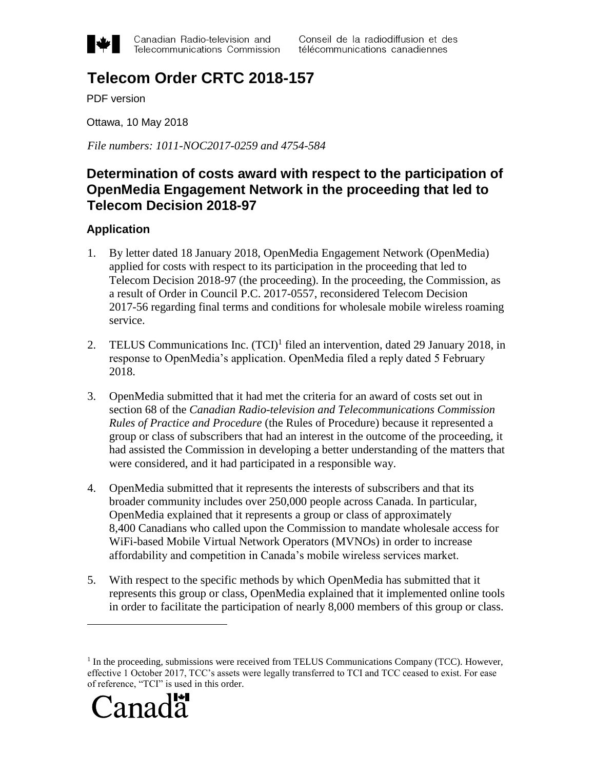

Canadian Radio-television and Telecommunications Commission Conseil de la radiodiffusion et des télécommunications canadiennes

# **Telecom Order CRTC 2018-157**

PDF version

Ottawa, 10 May 2018

*File numbers: 1011-NOC2017-0259 and 4754-584*

# **Determination of costs award with respect to the participation of OpenMedia Engagement Network in the proceeding that led to Telecom Decision 2018-97**

# **Application**

- 1. By letter dated 18 January 2018, OpenMedia Engagement Network (OpenMedia) applied for costs with respect to its participation in the proceeding that led to Telecom Decision 2018-97 (the proceeding). In the proceeding, the Commission, as a result of Order in Council P.C. 2017-0557, reconsidered Telecom Decision 2017-56 regarding final terms and conditions for wholesale mobile wireless roaming service.
- 2. TELUS Communications Inc. (TCI)<sup>1</sup> filed an intervention, dated 29 January 2018, in response to OpenMedia's application. OpenMedia filed a reply dated 5 February 2018.
- 3. OpenMedia submitted that it had met the criteria for an award of costs set out in section 68 of the *Canadian Radio-television and Telecommunications Commission Rules of Practice and Procedure* (the Rules of Procedure) because it represented a group or class of subscribers that had an interest in the outcome of the proceeding, it had assisted the Commission in developing a better understanding of the matters that were considered, and it had participated in a responsible way.
- 4. OpenMedia submitted that it represents the interests of subscribers and that its broader community includes over 250,000 people across Canada. In particular, OpenMedia explained that it represents a group or class of approximately 8,400 Canadians who called upon the Commission to mandate wholesale access for WiFi-based Mobile Virtual Network Operators (MVNOs) in order to increase affordability and competition in Canada's mobile wireless services market.
- 5. With respect to the specific methods by which OpenMedia has submitted that it represents this group or class, OpenMedia explained that it implemented online tools in order to facilitate the participation of nearly 8,000 members of this group or class.

<sup>&</sup>lt;sup>1</sup> In the proceeding, submissions were received from TELUS Communications Company (TCC). However, effective 1 October 2017, TCC's assets were legally transferred to TCI and TCC ceased to exist. For ease of reference, "TCI" is used in this order.



 $\overline{a}$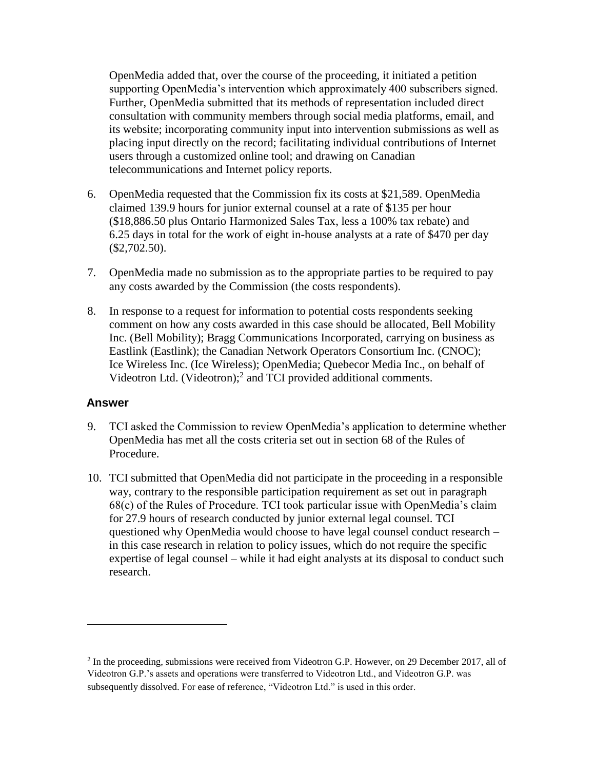OpenMedia added that, over the course of the proceeding, it initiated a petition supporting OpenMedia's intervention which approximately 400 subscribers signed. Further, OpenMedia submitted that its methods of representation included direct consultation with community members through social media platforms, email, and its website; incorporating community input into intervention submissions as well as placing input directly on the record; facilitating individual contributions of Internet users through a customized online tool; and drawing on Canadian telecommunications and Internet policy reports.

- 6. OpenMedia requested that the Commission fix its costs at \$21,589. OpenMedia claimed 139.9 hours for junior external counsel at a rate of \$135 per hour (\$18,886.50 plus Ontario Harmonized Sales Tax, less a 100% tax rebate) and 6.25 days in total for the work of eight in-house analysts at a rate of \$470 per day  $($2,702.50).$
- 7. OpenMedia made no submission as to the appropriate parties to be required to pay any costs awarded by the Commission (the costs respondents).
- 8. In response to a request for information to potential costs respondents seeking comment on how any costs awarded in this case should be allocated, Bell Mobility Inc. (Bell Mobility); Bragg Communications Incorporated, carrying on business as Eastlink (Eastlink); the Canadian Network Operators Consortium Inc. (CNOC); Ice Wireless Inc. (Ice Wireless); OpenMedia; Quebecor Media Inc., on behalf of Videotron Ltd. (Videotron);<sup>2</sup> and TCI provided additional comments.

#### **Answer**

 $\overline{a}$ 

- 9. TCI asked the Commission to review OpenMedia's application to determine whether OpenMedia has met all the costs criteria set out in section 68 of the Rules of Procedure.
- 10. TCI submitted that OpenMedia did not participate in the proceeding in a responsible way, contrary to the responsible participation requirement as set out in paragraph 68(c) of the Rules of Procedure. TCI took particular issue with OpenMedia's claim for 27.9 hours of research conducted by junior external legal counsel. TCI questioned why OpenMedia would choose to have legal counsel conduct research – in this case research in relation to policy issues, which do not require the specific expertise of legal counsel – while it had eight analysts at its disposal to conduct such research.

<sup>&</sup>lt;sup>2</sup> In the proceeding, submissions were received from Videotron G.P. However, on 29 December 2017, all of Videotron G.P.'s assets and operations were transferred to Videotron Ltd., and Videotron G.P. was subsequently dissolved. For ease of reference, "Videotron Ltd." is used in this order.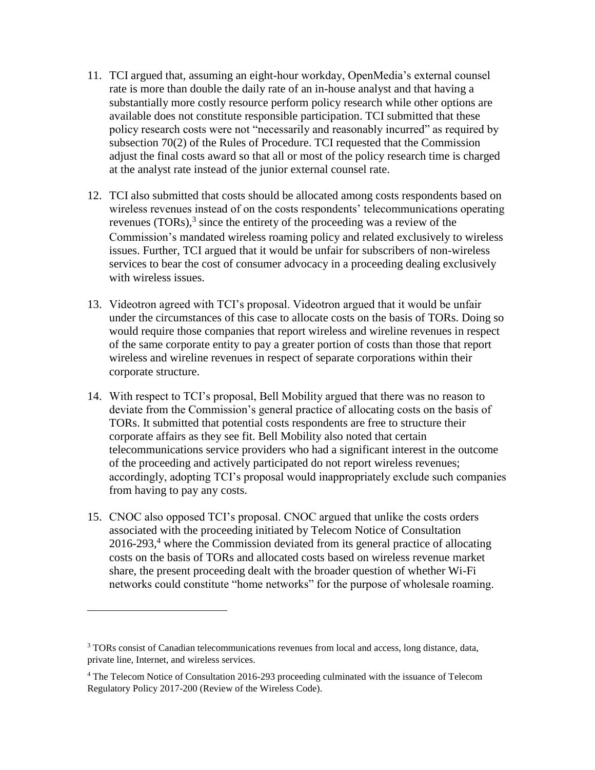- 11. TCI argued that, assuming an eight-hour workday, OpenMedia's external counsel rate is more than double the daily rate of an in-house analyst and that having a substantially more costly resource perform policy research while other options are available does not constitute responsible participation. TCI submitted that these policy research costs were not "necessarily and reasonably incurred" as required by subsection 70(2) of the Rules of Procedure. TCI requested that the Commission adjust the final costs award so that all or most of the policy research time is charged at the analyst rate instead of the junior external counsel rate.
- 12. TCI also submitted that costs should be allocated among costs respondents based on wireless revenues instead of on the costs respondents' telecommunications operating revenues  $(TORs)$ ,<sup>3</sup> since the entirety of the proceeding was a review of the Commission's mandated wireless roaming policy and related exclusively to wireless issues. Further, TCI argued that it would be unfair for subscribers of non-wireless services to bear the cost of consumer advocacy in a proceeding dealing exclusively with wireless issues.
- 13. Videotron agreed with TCI's proposal. Videotron argued that it would be unfair under the circumstances of this case to allocate costs on the basis of TORs. Doing so would require those companies that report wireless and wireline revenues in respect of the same corporate entity to pay a greater portion of costs than those that report wireless and wireline revenues in respect of separate corporations within their corporate structure.
- 14. With respect to TCI's proposal, Bell Mobility argued that there was no reason to deviate from the Commission's general practice of allocating costs on the basis of TORs. It submitted that potential costs respondents are free to structure their corporate affairs as they see fit. Bell Mobility also noted that certain telecommunications service providers who had a significant interest in the outcome of the proceeding and actively participated do not report wireless revenues; accordingly, adopting TCI's proposal would inappropriately exclude such companies from having to pay any costs.
- 15. CNOC also opposed TCI's proposal. CNOC argued that unlike the costs orders associated with the proceeding initiated by Telecom Notice of Consultation  $2016-293$ ,<sup>4</sup> where the Commission deviated from its general practice of allocating costs on the basis of TORs and allocated costs based on wireless revenue market share, the present proceeding dealt with the broader question of whether Wi-Fi networks could constitute "home networks" for the purpose of wholesale roaming.

 $\overline{a}$ 

 $3$  TORs consist of Canadian telecommunications revenues from local and access, long distance, data, private line, Internet, and wireless services.

<sup>4</sup> The Telecom Notice of Consultation 2016-293 proceeding culminated with the issuance of Telecom Regulatory Policy 2017-200 (Review of the Wireless Code).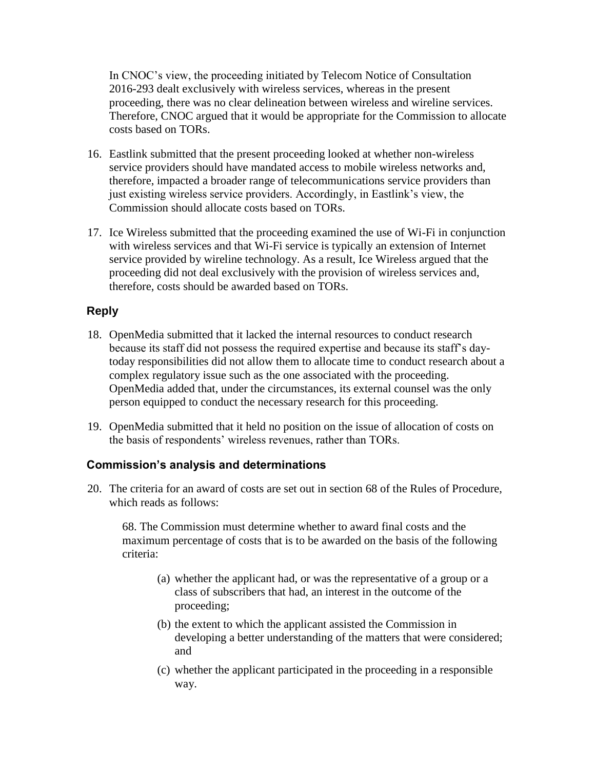In CNOC's view, the proceeding initiated by Telecom Notice of Consultation 2016-293 dealt exclusively with wireless services, whereas in the present proceeding, there was no clear delineation between wireless and wireline services. Therefore, CNOC argued that it would be appropriate for the Commission to allocate costs based on TORs.

- 16. Eastlink submitted that the present proceeding looked at whether non-wireless service providers should have mandated access to mobile wireless networks and, therefore, impacted a broader range of telecommunications service providers than just existing wireless service providers. Accordingly, in Eastlink's view, the Commission should allocate costs based on TORs.
- 17. Ice Wireless submitted that the proceeding examined the use of Wi-Fi in conjunction with wireless services and that Wi-Fi service is typically an extension of Internet service provided by wireline technology. As a result, Ice Wireless argued that the proceeding did not deal exclusively with the provision of wireless services and, therefore, costs should be awarded based on TORs.

# **Reply**

- 18. OpenMedia submitted that it lacked the internal resources to conduct research because its staff did not possess the required expertise and because its staff's daytoday responsibilities did not allow them to allocate time to conduct research about a complex regulatory issue such as the one associated with the proceeding. OpenMedia added that, under the circumstances, its external counsel was the only person equipped to conduct the necessary research for this proceeding.
- 19. OpenMedia submitted that it held no position on the issue of allocation of costs on the basis of respondents' wireless revenues, rather than TORs.

# **Commission's analysis and determinations**

20. The criteria for an award of costs are set out in section 68 of the Rules of Procedure, which reads as follows:

68. The Commission must determine whether to award final costs and the maximum percentage of costs that is to be awarded on the basis of the following criteria:

- (a) whether the applicant had, or was the representative of a group or a class of subscribers that had, an interest in the outcome of the proceeding;
- (b) the extent to which the applicant assisted the Commission in developing a better understanding of the matters that were considered; and
- (c) whether the applicant participated in the proceeding in a responsible way.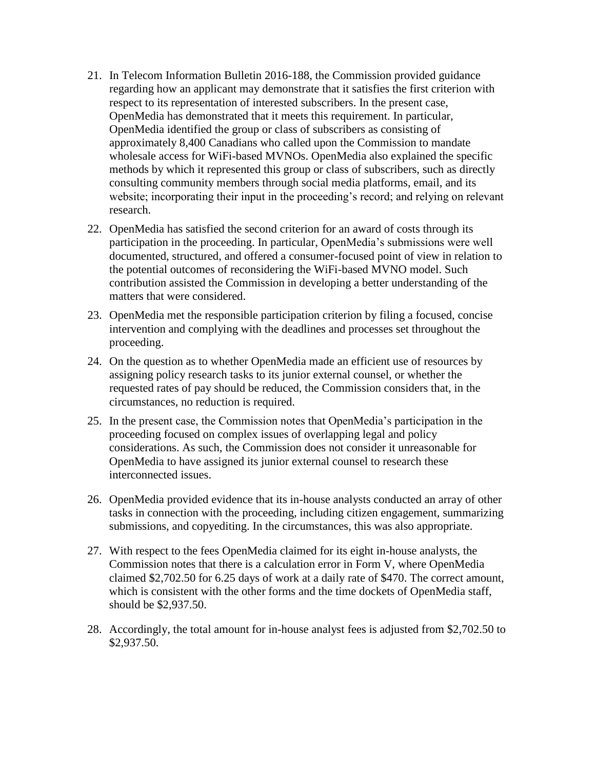- 21. In Telecom Information Bulletin 2016-188, the Commission provided guidance regarding how an applicant may demonstrate that it satisfies the first criterion with respect to its representation of interested subscribers. In the present case, OpenMedia has demonstrated that it meets this requirement. In particular, OpenMedia identified the group or class of subscribers as consisting of approximately 8,400 Canadians who called upon the Commission to mandate wholesale access for WiFi-based MVNOs. OpenMedia also explained the specific methods by which it represented this group or class of subscribers, such as directly consulting community members through social media platforms, email, and its website; incorporating their input in the proceeding's record; and relying on relevant research.
- 22. OpenMedia has satisfied the second criterion for an award of costs through its participation in the proceeding. In particular, OpenMedia's submissions were well documented, structured, and offered a consumer-focused point of view in relation to the potential outcomes of reconsidering the WiFi-based MVNO model. Such contribution assisted the Commission in developing a better understanding of the matters that were considered.
- 23. OpenMedia met the responsible participation criterion by filing a focused, concise intervention and complying with the deadlines and processes set throughout the proceeding.
- 24. On the question as to whether OpenMedia made an efficient use of resources by assigning policy research tasks to its junior external counsel, or whether the requested rates of pay should be reduced, the Commission considers that, in the circumstances, no reduction is required.
- 25. In the present case, the Commission notes that OpenMedia's participation in the proceeding focused on complex issues of overlapping legal and policy considerations. As such, the Commission does not consider it unreasonable for OpenMedia to have assigned its junior external counsel to research these interconnected issues.
- 26. OpenMedia provided evidence that its in-house analysts conducted an array of other tasks in connection with the proceeding, including citizen engagement, summarizing submissions, and copyediting. In the circumstances, this was also appropriate.
- 27. With respect to the fees OpenMedia claimed for its eight in-house analysts, the Commission notes that there is a calculation error in Form V, where OpenMedia claimed \$2,702.50 for 6.25 days of work at a daily rate of \$470. The correct amount, which is consistent with the other forms and the time dockets of OpenMedia staff, should be \$2,937.50.
- 28. Accordingly, the total amount for in-house analyst fees is adjusted from \$2,702.50 to \$2,937.50.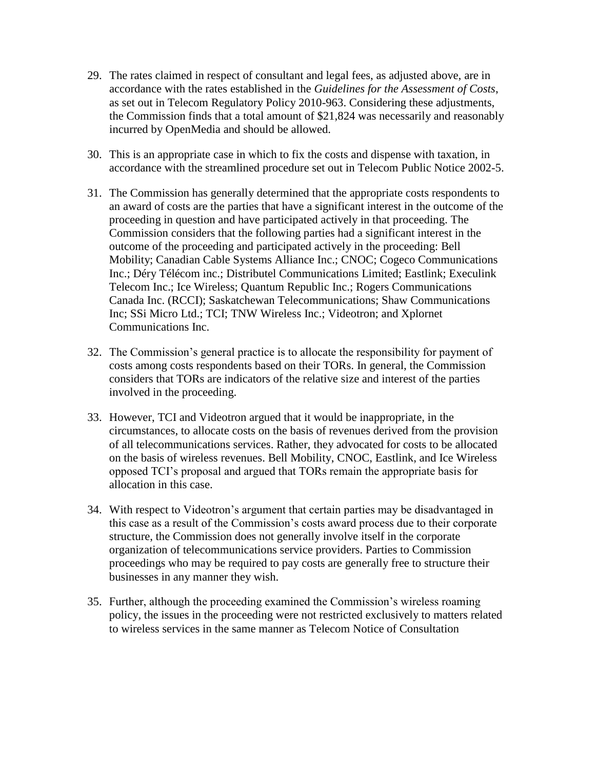- 29. The rates claimed in respect of consultant and legal fees, as adjusted above, are in accordance with the rates established in the *Guidelines for the Assessment of Costs*, as set out in Telecom Regulatory Policy 2010-963. Considering these adjustments, the Commission finds that a total amount of \$21,824 was necessarily and reasonably incurred by OpenMedia and should be allowed.
- 30. This is an appropriate case in which to fix the costs and dispense with taxation, in accordance with the streamlined procedure set out in Telecom Public Notice 2002-5.
- 31. The Commission has generally determined that the appropriate costs respondents to an award of costs are the parties that have a significant interest in the outcome of the proceeding in question and have participated actively in that proceeding. The Commission considers that the following parties had a significant interest in the outcome of the proceeding and participated actively in the proceeding: Bell Mobility; Canadian Cable Systems Alliance Inc.; CNOC; Cogeco Communications Inc.; Déry Télécom inc.; Distributel Communications Limited; Eastlink; Execulink Telecom Inc.; Ice Wireless; Quantum Republic Inc.; Rogers Communications Canada Inc. (RCCI); Saskatchewan Telecommunications; Shaw Communications Inc; SSi Micro Ltd.; TCI; TNW Wireless Inc.; Videotron; and Xplornet Communications Inc.
- 32. The Commission's general practice is to allocate the responsibility for payment of costs among costs respondents based on their TORs. In general, the Commission considers that TORs are indicators of the relative size and interest of the parties involved in the proceeding.
- 33. However, TCI and Videotron argued that it would be inappropriate, in the circumstances, to allocate costs on the basis of revenues derived from the provision of all telecommunications services. Rather, they advocated for costs to be allocated on the basis of wireless revenues. Bell Mobility, CNOC, Eastlink, and Ice Wireless opposed TCI's proposal and argued that TORs remain the appropriate basis for allocation in this case.
- 34. With respect to Videotron's argument that certain parties may be disadvantaged in this case as a result of the Commission's costs award process due to their corporate structure, the Commission does not generally involve itself in the corporate organization of telecommunications service providers. Parties to Commission proceedings who may be required to pay costs are generally free to structure their businesses in any manner they wish.
- 35. Further, although the proceeding examined the Commission's wireless roaming policy, the issues in the proceeding were not restricted exclusively to matters related to wireless services in the same manner as Telecom Notice of Consultation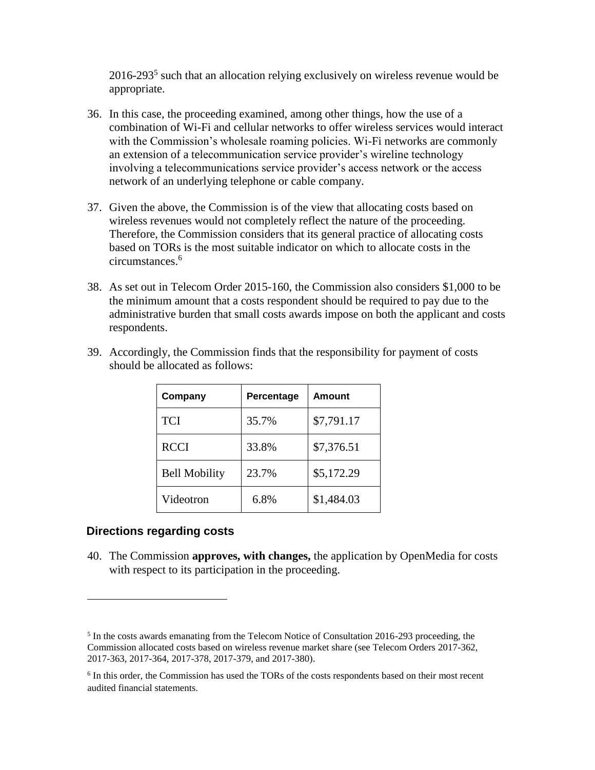$2016-293<sup>5</sup>$  such that an allocation relying exclusively on wireless revenue would be appropriate.

- 36. In this case, the proceeding examined, among other things, how the use of a combination of Wi-Fi and cellular networks to offer wireless services would interact with the Commission's wholesale roaming policies. Wi-Fi networks are commonly an extension of a telecommunication service provider's wireline technology involving a telecommunications service provider's access network or the access network of an underlying telephone or cable company.
- 37. Given the above, the Commission is of the view that allocating costs based on wireless revenues would not completely reflect the nature of the proceeding. Therefore, the Commission considers that its general practice of allocating costs based on TORs is the most suitable indicator on which to allocate costs in the circumstances.<sup>6</sup>
- 38. As set out in Telecom Order 2015-160, the Commission also considers \$1,000 to be the minimum amount that a costs respondent should be required to pay due to the administrative burden that small costs awards impose on both the applicant and costs respondents.

| Company              | Percentage | Amount     |
|----------------------|------------|------------|
| <b>TCI</b>           | 35.7%      | \$7,791.17 |
| <b>RCCI</b>          | 33.8%      | \$7,376.51 |
| <b>Bell Mobility</b> | 23.7%      | \$5,172.29 |
| Videotron            | 6.8%       | \$1,484.03 |

39. Accordingly, the Commission finds that the responsibility for payment of costs should be allocated as follows:

# **Directions regarding costs**

 $\overline{a}$ 

40. The Commission **approves, with changes,** the application by OpenMedia for costs with respect to its participation in the proceeding.

<sup>&</sup>lt;sup>5</sup> In the costs awards emanating from the Telecom Notice of Consultation 2016-293 proceeding, the Commission allocated costs based on wireless revenue market share (see Telecom Orders 2017-362, 2017-363, 2017-364, 2017-378, 2017-379, and 2017-380).

<sup>&</sup>lt;sup>6</sup> In this order, the Commission has used the TORs of the costs respondents based on their most recent audited financial statements.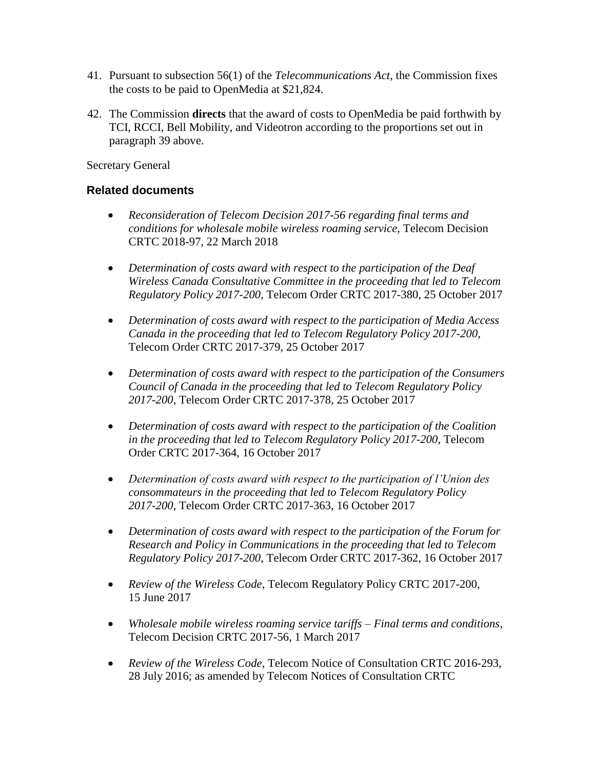- 41. Pursuant to subsection 56(1) of the *Telecommunications Act*, the Commission fixes the costs to be paid to OpenMedia at \$21,824.
- 42. The Commission **directs** that the award of costs to OpenMedia be paid forthwith by TCI, RCCI, Bell Mobility, and Videotron according to the proportions set out in paragraph 39 above.

Secretary General

# **Related documents**

- *Reconsideration of Telecom Decision 2017-56 regarding final terms and conditions for wholesale mobile wireless roaming service*, Telecom Decision CRTC 2018-97, 22 March 2018
- *Determination of costs award with respect to the participation of the Deaf Wireless Canada Consultative Committee in the proceeding that led to Telecom Regulatory Policy 2017-200*, Telecom Order CRTC 2017-380, 25 October 2017
- *Determination of costs award with respect to the participation of Media Access Canada in the proceeding that led to Telecom Regulatory Policy 2017-200*, Telecom Order CRTC 2017-379, 25 October 2017
- *Determination of costs award with respect to the participation of the Consumers Council of Canada in the proceeding that led to Telecom Regulatory Policy 2017-200*, Telecom Order CRTC 2017-378, 25 October 2017
- *Determination of costs award with respect to the participation of the Coalition in the proceeding that led to Telecom Regulatory Policy 2017-200*, Telecom Order CRTC 2017-364, 16 October 2017
- *Determination of costs award with respect to the participation of l'Union des consommateurs in the proceeding that led to Telecom Regulatory Policy 2017-200*, Telecom Order CRTC 2017-363, 16 October 2017
- *Determination of costs award with respect to the participation of the Forum for Research and Policy in Communications in the proceeding that led to Telecom Regulatory Policy 2017-200*, Telecom Order CRTC 2017-362, 16 October 2017
- *Review of the Wireless Code*, Telecom Regulatory Policy CRTC 2017-200, 15 June 2017
- *Wholesale mobile wireless roaming service tariffs – Final terms and conditions*, Telecom Decision CRTC 2017-56, 1 March 2017
- *Review of the Wireless Code*, Telecom Notice of Consultation CRTC 2016-293, 28 July 2016; as amended by Telecom Notices of Consultation CRTC